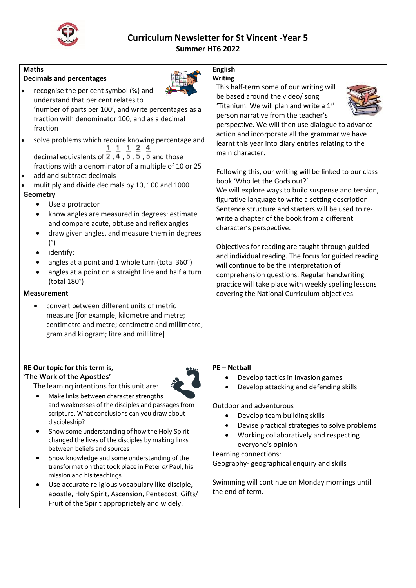

## **Curriculum Newsletter for St Vincent -Year 5 Summer HT6 2022**

| <b>Maths</b>                                                                                                   | <b>English</b>                                                     |
|----------------------------------------------------------------------------------------------------------------|--------------------------------------------------------------------|
| <b>Decimals and percentages</b>                                                                                | <b>Writing</b>                                                     |
| recognise the per cent symbol (%) and<br>$\bullet$                                                             | This half-term some of our writing will                            |
| understand that per cent relates to                                                                            | be based around the video/ song                                    |
| 'number of parts per 100', and write percentages as a                                                          | 'Titanium. We will plan and write a 1st                            |
| fraction with denominator 100, and as a decimal                                                                | person narrative from the teacher's                                |
| fraction                                                                                                       | perspective. We will then use dialogue to advance                  |
|                                                                                                                | action and incorporate all the grammar we have                     |
| solve problems which require knowing percentage and                                                            | learnt this year into diary entries relating to the                |
| decimal equivalents of $\frac{1}{2}$ , $\frac{1}{4}$ , $\frac{1}{5}$ , $\frac{5}{5}$ , $\frac{1}{5}$ and those | main character.                                                    |
| fractions with a denominator of a multiple of 10 or 25                                                         |                                                                    |
| add and subtract decimals<br>$\bullet$                                                                         | Following this, our writing will be linked to our class            |
| mulitiply and divide decimals by 10, 100 and 1000<br>$\bullet$                                                 | book 'Who let the Gods out?'                                       |
| Geometry                                                                                                       | We will explore ways to build suspense and tension,                |
| Use a protractor                                                                                               | figurative language to write a setting description.                |
| know angles are measured in degrees: estimate<br>$\bullet$                                                     | Sentence structure and starters will be used to re-                |
| and compare acute, obtuse and reflex angles                                                                    | write a chapter of the book from a different                       |
| draw given angles, and measure them in degrees                                                                 | character's perspective.                                           |
| $(^\circ)$                                                                                                     |                                                                    |
| identify:                                                                                                      | Objectives for reading are taught through guided                   |
| angles at a point and 1 whole turn (total 360°)                                                                | and individual reading. The focus for guided reading               |
| angles at a point on a straight line and half a turn                                                           | will continue to be the interpretation of                          |
| (total 180°)                                                                                                   | comprehension questions. Regular handwriting                       |
|                                                                                                                | practice will take place with weekly spelling lessons              |
| <b>Measurement</b>                                                                                             | covering the National Curriculum objectives.                       |
| convert between different units of metric<br>$\bullet$                                                         |                                                                    |
| measure [for example, kilometre and metre;                                                                     |                                                                    |
| centimetre and metre; centimetre and millimetre;                                                               |                                                                    |
| gram and kilogram; litre and millilitre]                                                                       |                                                                    |
|                                                                                                                |                                                                    |
|                                                                                                                |                                                                    |
| RE Our topic for this term is,                                                                                 | <b>PE-Netball</b>                                                  |
| 'The Work of the Apostles'                                                                                     | Develop tactics in invasion games                                  |
| The learning intentions for this unit are:                                                                     | Develop attacking and defending skills                             |
| Make links between character strengths                                                                         |                                                                    |
| and weaknesses of the disciples and passages from                                                              | Outdoor and adventurous                                            |
| scripture. What conclusions can you draw about                                                                 | Develop team building skills                                       |
| discipleship?                                                                                                  | Devise practical strategies to solve problems                      |
| Show some understanding of how the Holy Spirit                                                                 | Working collaboratively and respecting                             |
| changed the lives of the disciples by making links                                                             | everyone's opinion                                                 |
| between beliefs and sources                                                                                    |                                                                    |
| Show knowledge and some understanding of the                                                                   | Learning connections:<br>Geography-geographical enquiry and skills |
| transformation that took place in Peter or Paul, his                                                           |                                                                    |
| mission and his teachings                                                                                      | Swimming will continue on Monday mornings until                    |
| Use accurate religious vocabulary like disciple,                                                               | the end of term.                                                   |
| apostle, Holy Spirit, Ascension, Pentecost, Gifts/                                                             |                                                                    |
| Fruit of the Spirit appropriately and widely.                                                                  |                                                                    |